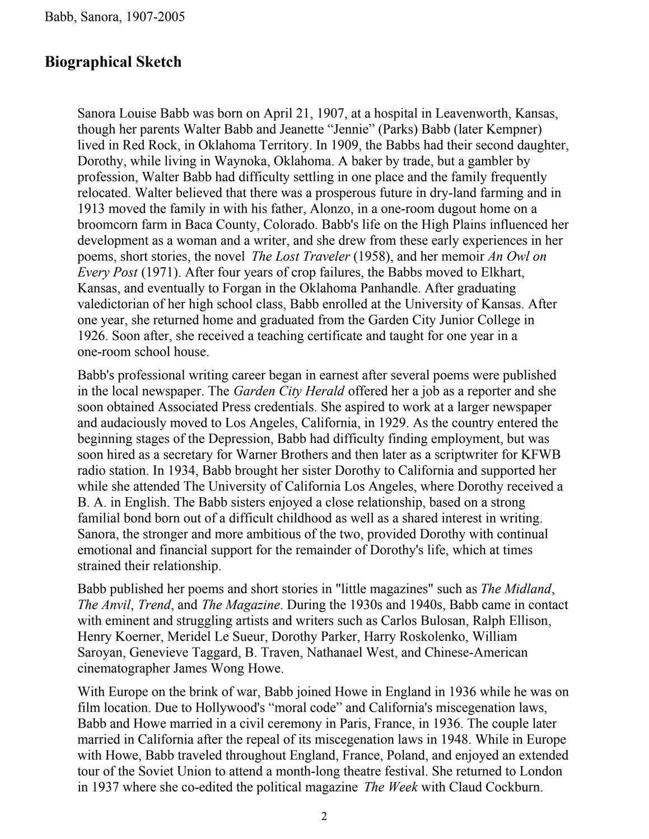#### **Biographical Sketch**

Sanora Louise Babb was born on April 21, 1907, at a hospital in Leavenworth, Kansas, though her parents Walter Babb and Jeanette "Jennie" (Parks) Babb (later Kempner) lived in Red Rock, in Oklahoma Territory. In 1909, the Babbs had their second daughter, Dorothy, while living in Waynoka, Oklahoma. A baker by trade, but a gambler by profession, Walter Babb had difficulty settling in one place and the family frequently relocated. Walter believed that there was a prosperous future in dry-land farming and in 1913 moved the family in with his father, Alonzo, in a one-room dugout home on a broomcorn farm in Baca County, Colorado. Babb's life on the High Plains influenced her development as a woman and a writer, and she drew from these early experiences in her poems, short stories, the novel *The Lost Traveler* (1958), and her memoir *An Owl on Every Post* (1971). After four years of crop failures, the Babbs moved to Elkhart, Kansas, and eventually to Forgan in the Oklahoma Panhandle. After graduating valedictorian of her high school class, Babb enrolled at the University of Kansas. After one year, she returned home and graduated from the Garden City Junior College in 1926. Soon after, she received a teaching certificate and taught for one year in a one-room school house.

Babb's professional writing career began in earnest after several poems were published in the local newspaper. The *Garden City Herald* offered her a job as a reporter and she soon obtained Associated Press credentials. She aspired to work at a larger newspaper and audaciously moved to Los Angeles, California, in 1929. As the country entered the beginning stages of the Depression, Babb had difficulty finding employment, but was soon hired as a secretary for Warner Brothers and then later as a scriptwriter for KFWB radio station. In 1934, Babb brought her sister Dorothy to California and supported her while she attended The University of California Los Angeles, where Dorothy received a B. A. in English. The Babb sisters enjoyed a close relationship, based on a strong familial bond born out of a difficult childhood as well as a shared interest in writing. Sanora, the stronger and more ambitious of the two, provided Dorothy with continual emotional and financial support for the remainder of Dorothy's life, which at times strained their relationship.

Babb published her poems and short stories in "little magazines" such as *The Midland*, *The Anvil*, *Trend*, and *The Magazine*. During the 1930s and 1940s, Babb came in contact with eminent and struggling artists and writers such as Carlos Bulosan, Ralph Ellison, Henry Koerner, Meridel Le Sueur, Dorothy Parker, Harry Roskolenko, William Saroyan, Genevieve Taggard, B. Traven, Nathanael West, and Chinese-American cinematographer James Wong Howe.

With Europe on the brink of war, Babb joined Howe in England in 1936 while he was on film location. Due to Hollywood's "moral code" and California's miscegenation laws, Babb and Howe married in a civil ceremony in Paris, France, in 1936. The couple later married in California after the repeal of its miscegenation laws in 1948. While in Europe with Howe, Babb traveled throughout England, France, Poland, and enjoyed an extended tour of the Soviet Union to attend a month-long theatre festival. She returned to London in 1937 where she co-edited the political magazine *The Week* with Claud Cockburn.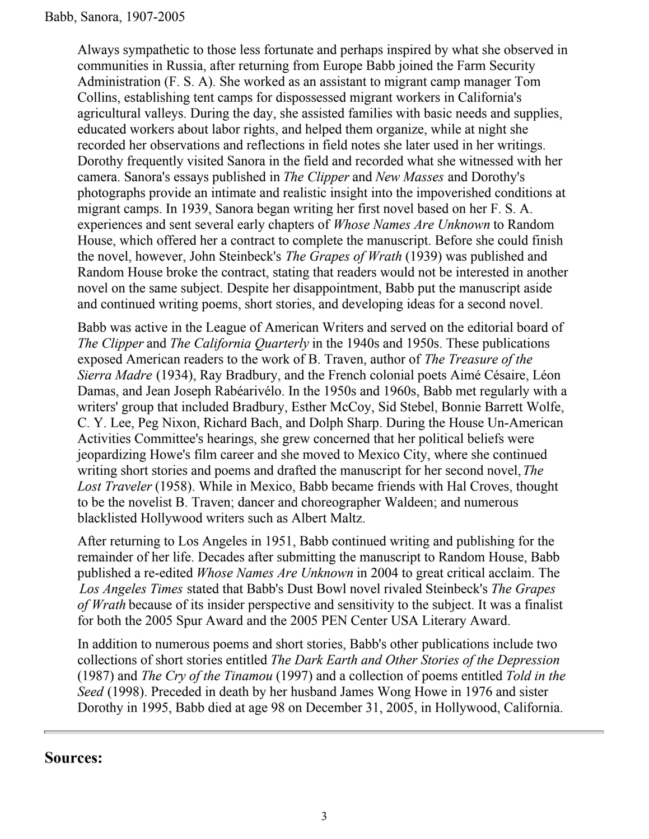Always sympathetic to those less fortunate and perhaps inspired by what she observed in communities in Russia, after returning from Europe Babb joined the Farm Security Administration (F. S. A). She worked as an assistant to migrant camp manager Tom Collins, establishing tent camps for dispossessed migrant workers in California's agricultural valleys. During the day, she assisted families with basic needs and supplies, educated workers about labor rights, and helped them organize, while at night she recorded her observations and reflections in field notes she later used in her writings. Dorothy frequently visited Sanora in the field and recorded what she witnessed with her camera. Sanora's essays published in *The Clipper* and *New Masses* and Dorothy's photographs provide an intimate and realistic insight into the impoverished conditions at migrant camps. In 1939, Sanora began writing her first novel based on her F. S. A. experiences and sent several early chapters of *Whose Names Are Unknown* to Random House, which offered her a contract to complete the manuscript. Before she could finish the novel, however, John Steinbeck's *The Grapes of Wrath* (1939) was published and Random House broke the contract, stating that readers would not be interested in another novel on the same subject. Despite her disappointment, Babb put the manuscript aside and continued writing poems, short stories, and developing ideas for a second novel.

Babb was active in the League of American Writers and served on the editorial board of *The Clipper* and *The California Quarterly* in the 1940s and 1950s. These publications exposed American readers to the work of B. Traven, author of *The Treasure of the Sierra Madre* (1934), Ray Bradbury, and the French colonial poets Aimé Césaire, Léon Damas, and Jean Joseph Rabéarivélo. In the 1950s and 1960s, Babb met regularly with a writers' group that included Bradbury, Esther McCoy, Sid Stebel, Bonnie Barrett Wolfe, C. Y. Lee, Peg Nixon, Richard Bach, and Dolph Sharp. During the House Un-American Activities Committee's hearings, she grew concerned that her political beliefs were jeopardizing Howe's film career and she moved to Mexico City, where she continued writing short stories and poems and drafted the manuscript for her second novel, *The Lost Traveler* (1958). While in Mexico, Babb became friends with Hal Croves, thought to be the novelist B. Traven; dancer and choreographer Waldeen; and numerous blacklisted Hollywood writers such as Albert Maltz.

After returning to Los Angeles in 1951, Babb continued writing and publishing for the remainder of her life. Decades after submitting the manuscript to Random House, Babb published a re-edited *Whose Names Are Unknown* in 2004 to great critical acclaim. The *Los Angeles Times* stated that Babb's Dust Bowl novel rivaled Steinbeck's *The Grapes of Wrath* because of its insider perspective and sensitivity to the subject. It was a finalist for both the 2005 Spur Award and the 2005 PEN Center USA Literary Award.

In addition to numerous poems and short stories, Babb's other publications include two collections of short stories entitled *The Dark Earth and Other Stories of the Depression* (1987) and *The Cry of the Tinamou* (1997) and a collection of poems entitled *Told in the Seed* (1998). Preceded in death by her husband James Wong Howe in 1976 and sister Dorothy in 1995, Babb died at age 98 on December 31, 2005, in Hollywood, California.

#### **Sources:**